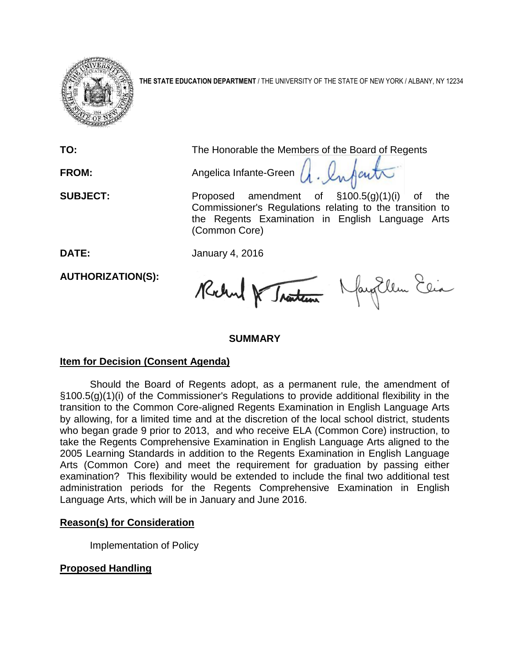

**THE STATE EDUCATION DEPARTMENT** / THE UNIVERSITY OF THE STATE OF NEW YORK / ALBANY, NY 12234

**TO:** The Honorable the Members of the Board of Regents **FROM:** Angelica Infante-Green  $\mu$ . Infant **SUBJECT:** Proposed amendment of §100.5(g)(1)(i) of the Commissioner's Regulations relating to the transition to the Regents Examination in English Language Arts (Common Core)

**DATE:** January 4, 2016

**AUTHORIZATION(S):**

Rochel & Traiten Nayollem Elia

# **SUMMARY**

# **Item for Decision (Consent Agenda)**

Should the Board of Regents adopt, as a permanent rule, the amendment of §100.5(g)(1)(i) of the Commissioner's Regulations to provide additional flexibility in the transition to the Common Core-aligned Regents Examination in English Language Arts by allowing, for a limited time and at the discretion of the local school district, students who began grade 9 prior to 2013, and who receive ELA (Common Core) instruction, to take the Regents Comprehensive Examination in English Language Arts aligned to the 2005 Learning Standards in addition to the Regents Examination in English Language Arts (Common Core) and meet the requirement for graduation by passing either examination? This flexibility would be extended to include the final two additional test administration periods for the Regents Comprehensive Examination in English Language Arts, which will be in January and June 2016.

# **Reason(s) for Consideration**

Implementation of Policy

# **Proposed Handling**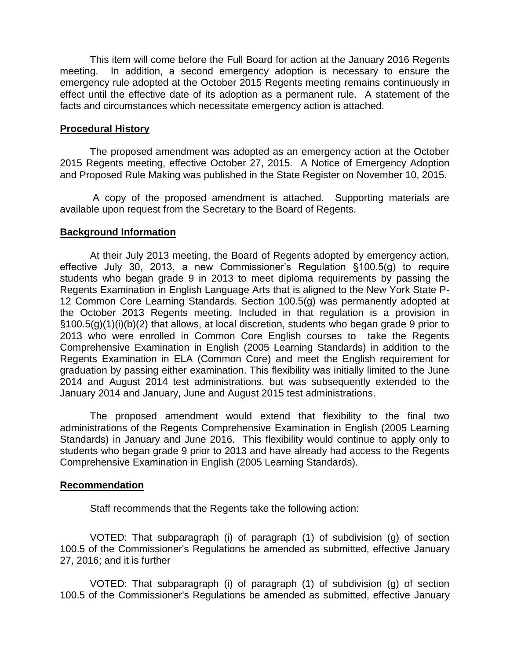This item will come before the Full Board for action at the January 2016 Regents meeting. In addition, a second emergency adoption is necessary to ensure the emergency rule adopted at the October 2015 Regents meeting remains continuously in effect until the effective date of its adoption as a permanent rule. A statement of the facts and circumstances which necessitate emergency action is attached.

### **Procedural History**

The proposed amendment was adopted as an emergency action at the October 2015 Regents meeting, effective October 27, 2015. A Notice of Emergency Adoption and Proposed Rule Making was published in the State Register on November 10, 2015.

A copy of the proposed amendment is attached. Supporting materials are available upon request from the Secretary to the Board of Regents.

## **Background Information**

At their July 2013 meeting, the Board of Regents adopted by emergency action, effective July 30, 2013, a new Commissioner's Regulation §100.5(g) to require students who began grade 9 in 2013 to meet diploma requirements by passing the Regents Examination in English Language Arts that is aligned to the New York State P-12 Common Core Learning Standards. Section 100.5(g) was permanently adopted at the October 2013 Regents meeting. Included in that regulation is a provision in §100.5(g)(1)(i)(b)(2) that allows, at local discretion, students who began grade 9 prior to 2013 who were enrolled in Common Core English courses to take the Regents Comprehensive Examination in English (2005 Learning Standards) in addition to the Regents Examination in ELA (Common Core) and meet the English requirement for graduation by passing either examination. This flexibility was initially limited to the June 2014 and August 2014 test administrations, but was subsequently extended to the January 2014 and January, June and August 2015 test administrations.

The proposed amendment would extend that flexibility to the final two administrations of the Regents Comprehensive Examination in English (2005 Learning Standards) in January and June 2016. This flexibility would continue to apply only to students who began grade 9 prior to 2013 and have already had access to the Regents Comprehensive Examination in English (2005 Learning Standards).

#### **Recommendation**

Staff recommends that the Regents take the following action:

VOTED: That subparagraph (i) of paragraph (1) of subdivision (g) of section 100.5 of the Commissioner's Regulations be amended as submitted, effective January 27, 2016; and it is further

VOTED: That subparagraph (i) of paragraph (1) of subdivision (g) of section 100.5 of the Commissioner's Regulations be amended as submitted, effective January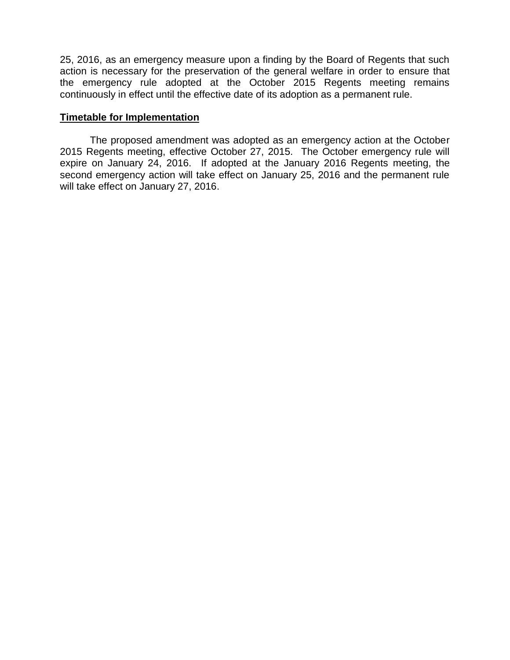25, 2016, as an emergency measure upon a finding by the Board of Regents that such action is necessary for the preservation of the general welfare in order to ensure that the emergency rule adopted at the October 2015 Regents meeting remains continuously in effect until the effective date of its adoption as a permanent rule.

## **Timetable for Implementation**

The proposed amendment was adopted as an emergency action at the October 2015 Regents meeting, effective October 27, 2015. The October emergency rule will expire on January 24, 2016. If adopted at the January 2016 Regents meeting, the second emergency action will take effect on January 25, 2016 and the permanent rule will take effect on January 27, 2016.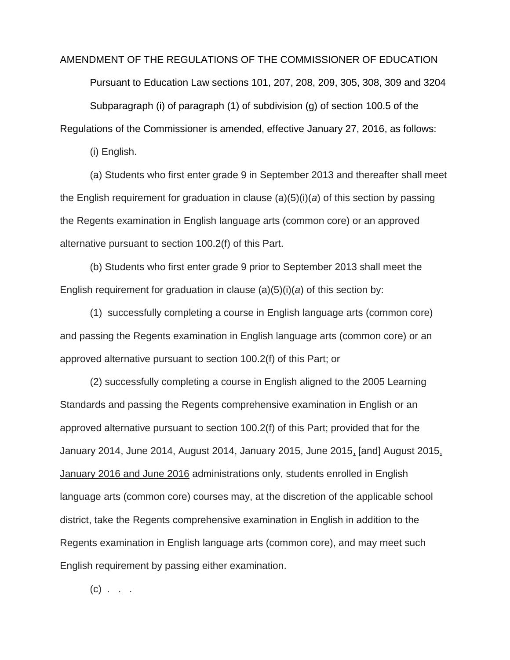#### AMENDMENT OF THE REGULATIONS OF THE COMMISSIONER OF EDUCATION

Pursuant to Education Law sections 101, 207, 208, 209, 305, 308, 309 and 3204 Subparagraph (i) of paragraph (1) of subdivision (g) of section 100.5 of the

Regulations of the Commissioner is amended, effective January 27, 2016, as follows:

(i) English.

(a) Students who first enter grade 9 in September 2013 and thereafter shall meet the English requirement for graduation in clause (a)(5)(i)(*a*) of this section by passing the Regents examination in English language arts (common core) or an approved alternative pursuant to section 100.2(f) of this Part.

(b) Students who first enter grade 9 prior to September 2013 shall meet the English requirement for graduation in clause (a)(5)(i)(*a*) of this section by:

(1) successfully completing a course in English language arts (common core) and passing the Regents examination in English language arts (common core) or an approved alternative pursuant to section 100.2(f) of this Part; or

(2) successfully completing a course in English aligned to the 2005 Learning Standards and passing the Regents comprehensive examination in English or an approved alternative pursuant to section 100.2(f) of this Part; provided that for the January 2014, June 2014, August 2014, January 2015, June 2015, [and] August 2015, January 2016 and June 2016 administrations only, students enrolled in English language arts (common core) courses may, at the discretion of the applicable school district, take the Regents comprehensive examination in English in addition to the Regents examination in English language arts (common core), and may meet such English requirement by passing either examination.

 $(c)$  . . .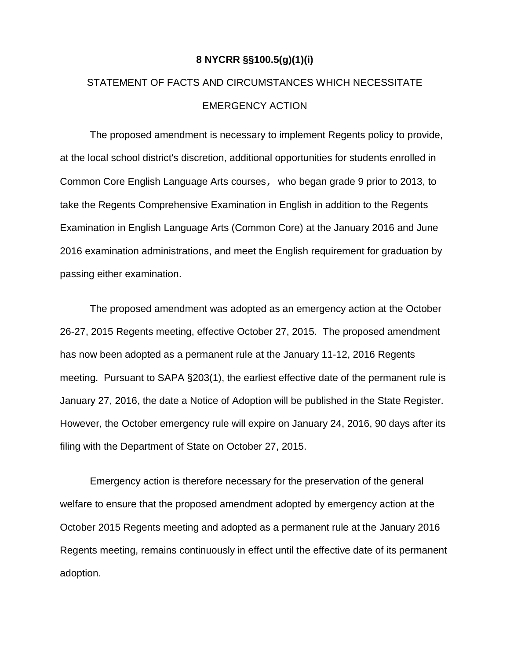## **8 NYCRR §§100.5(g)(1)(i)**

# STATEMENT OF FACTS AND CIRCUMSTANCES WHICH NECESSITATE EMERGENCY ACTION

The proposed amendment is necessary to implement Regents policy to provide, at the local school district's discretion, additional opportunities for students enrolled in Common Core English Language Arts courses, who began grade 9 prior to 2013, to take the Regents Comprehensive Examination in English in addition to the Regents Examination in English Language Arts (Common Core) at the January 2016 and June 2016 examination administrations, and meet the English requirement for graduation by passing either examination.

The proposed amendment was adopted as an emergency action at the October 26-27, 2015 Regents meeting, effective October 27, 2015. The proposed amendment has now been adopted as a permanent rule at the January 11-12, 2016 Regents meeting. Pursuant to SAPA §203(1), the earliest effective date of the permanent rule is January 27, 2016, the date a Notice of Adoption will be published in the State Register. However, the October emergency rule will expire on January 24, 2016, 90 days after its filing with the Department of State on October 27, 2015.

Emergency action is therefore necessary for the preservation of the general welfare to ensure that the proposed amendment adopted by emergency action at the October 2015 Regents meeting and adopted as a permanent rule at the January 2016 Regents meeting, remains continuously in effect until the effective date of its permanent adoption.